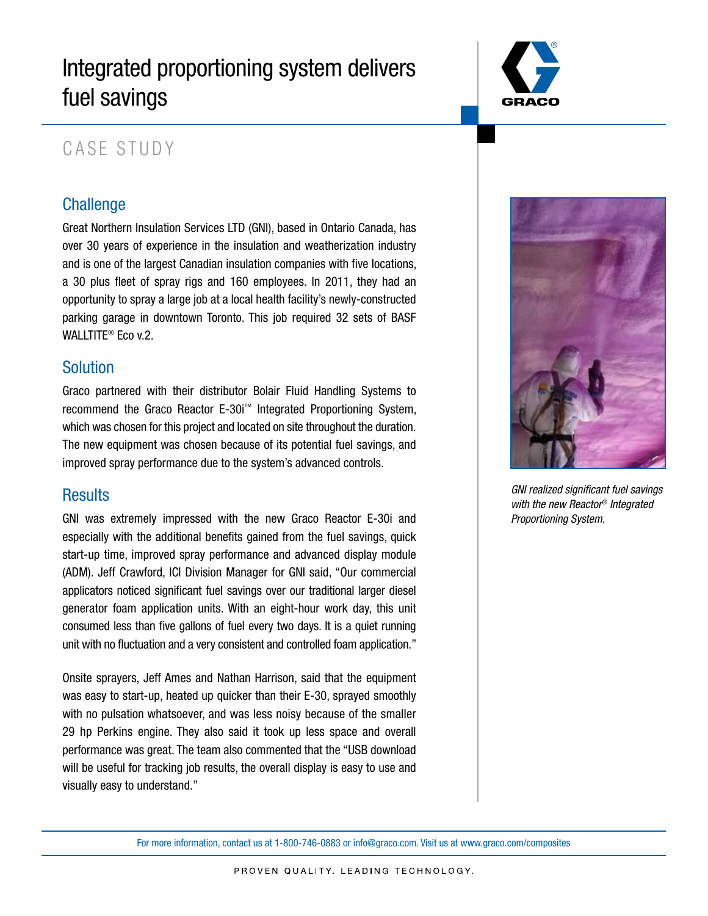# Integrated proportioning system delivers fuel savings



## CASE STUDY

## **Challenge**

Great Northern Insulation Services LTD (GNI), based in Ontario Canada, has over 30 years of experience in the insulation and weatherization industry and is one of the largest Canadian insulation companies with five locations, a 30 plus fleet of spray rigs and 160 employees. In 2011, they had an opportunity to spray a large job at a local health facility's newly-constructed parking garage in downtown Toronto. This job required 32 sets of BASF WALLTITE® Eco v.2.

### Solution

Graco partnered with their distributor Bolair Fluid Handling Systems to recommend the Graco Reactor E-30i™ Integrated Proportioning System, which was chosen for this project and located on site throughout the duration. The new equipment was chosen because of its potential fuel savings, and improved spray performance due to the system's advanced controls.

### **Results**

GNI was extremely impressed with the new Graco Reactor E-30i and especially with the additional benefits gained from the fuel savings, quick start-up time, improved spray performance and advanced display module (ADM). Jeff Crawford, ICI Division Manager for GNI said, "Our commercial applicators noticed significant fuel savings over our traditional larger diesel generator foam application units. With an eight-hour work day, this unit consumed less than five gallons of fuel every two days. It is a quiet running unit with no fluctuation and a very consistent and controlled foam application."

Onsite sprayers, Jeff Ames and Nathan Harrison, said that the equipment was easy to start-up, heated up quicker than their E-30, sprayed smoothly with no pulsation whatsoever, and was less noisy because of the smaller 29 hp Perkins engine. They also said it took up less space and overall performance was great. The team also commented that the "USB download will be useful for tracking job results, the overall display is easy to use and visually easy to understand."



*GNI realized significant fuel savings with the new Reactor® Integrated Proportioning System.*